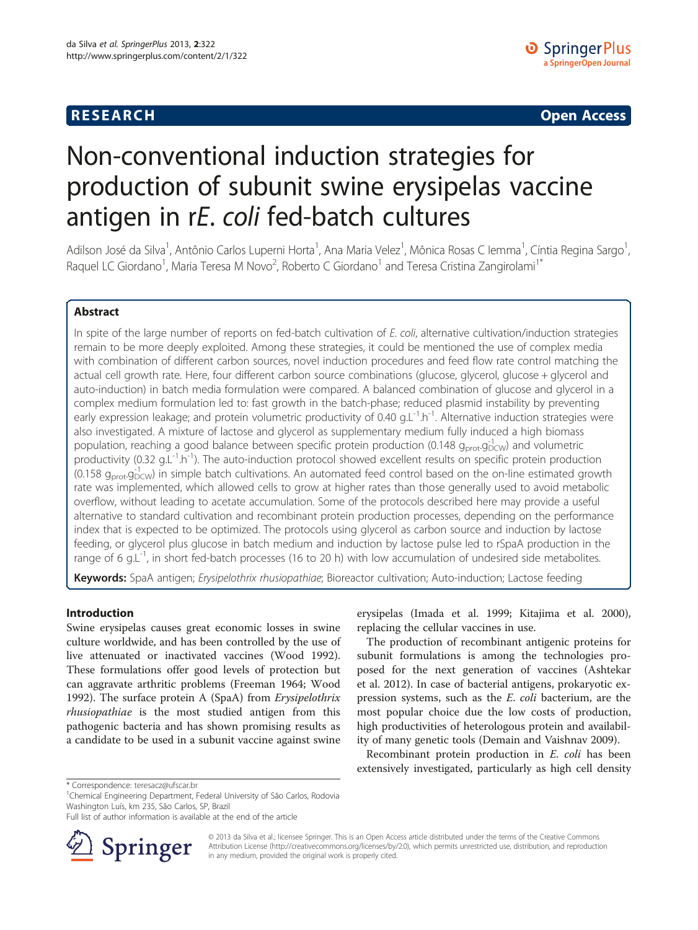## **RESEARCH RESEARCH CONSUMING ACCESS**

# Non-conventional induction strategies for production of subunit swine erysipelas vaccine antigen in rE. coli fed-batch cultures

Adilson José da Silva<sup>1</sup>, Antônio Carlos Luperni Horta<sup>1</sup>, Ana Maria Velez<sup>1</sup>, Mônica Rosas C Iemma<sup>1</sup>, Cíntia Regina Sargo<sup>1</sup> , Raquel LC Giordano<sup>1</sup>, Maria Teresa M Novo<sup>2</sup>, Roberto C Giordano<sup>1</sup> and Teresa Cristina Zangirolami<sup>1\*</sup>

### Abstract

In spite of the large number of reports on fed-batch cultivation of E. coli, alternative cultivation/induction strategies remain to be more deeply exploited. Among these strategies, it could be mentioned the use of complex media with combination of different carbon sources, novel induction procedures and feed flow rate control matching the actual cell growth rate. Here, four different carbon source combinations (glucose, glycerol, glucose + glycerol and auto-induction) in batch media formulation were compared. A balanced combination of glucose and glycerol in a complex medium formulation led to: fast growth in the batch-phase; reduced plasmid instability by preventing early expression leakage; and protein volumetric productivity of 0.40 g.L<sup>-1</sup>.h<sup>-1</sup>. Alternative induction strategies were also investigated. A mixture of lactose and glycerol as supplementary medium fully induced a high biomass population, reaching a good balance between specific protein production (0.148 g<sub>prot</sub>.g<sub>DCW</sub>) and volumetric productivity (0.32 g.L<sup>-1</sup>.h<sup>-1</sup>). The auto-induction protocol showed excellent results on specific protein production  $(0.158 g<sub>prot</sub>.g<sub>DCW</sub><sup>-1</sup>)$  in simple batch cultivations. An automated feed control based on the on-line estimated growth rate was implemented, which allowed cells to grow at higher rates than those generally used to avoid metabolic overflow, without leading to acetate accumulation. Some of the protocols described here may provide a useful alternative to standard cultivation and recombinant protein production processes, depending on the performance index that is expected to be optimized. The protocols using glycerol as carbon source and induction by lactose feeding, or glycerol plus glucose in batch medium and induction by lactose pulse led to rSpaA production in the range of 6 g.L<sup>-1</sup>, in short fed-batch processes (16 to 20 h) with low accumulation of undesired side metabolites.

Keywords: SpaA antigen; Erysipelothrix rhusiopathiae; Bioreactor cultivation; Auto-induction; Lactose feeding

#### Introduction

Swine erysipelas causes great economic losses in swine culture worldwide, and has been controlled by the use of live attenuated or inactivated vaccines (Wood [1992](#page-11-0)). These formulations offer good levels of protection but can aggravate arthritic problems (Freeman [1964;](#page-10-0) Wood [1992](#page-11-0)). The surface protein A (SpaA) from Erysipelothrix rhusiopathiae is the most studied antigen from this pathogenic bacteria and has shown promising results as a candidate to be used in a subunit vaccine against swine

erysipelas (Imada et al. [1999;](#page-10-0) Kitajima et al. [2000](#page-10-0)), replacing the cellular vaccines in use.

The production of recombinant antigenic proteins for subunit formulations is among the technologies proposed for the next generation of vaccines (Ashtekar et al. [2012](#page-10-0)). In case of bacterial antigens, prokaryotic expression systems, such as the E. coli bacterium, are the most popular choice due the low costs of production, high productivities of heterologous protein and availability of many genetic tools (Demain and Vaishnav [2009\)](#page-10-0).

Recombinant protein production in E. coli has been extensively investigated, particularly as high cell density

Full list of author information is available at the end of the article



© 2013 da Silva et al.; licensee Springer. This is an Open Access article distributed under the terms of the Creative Commons Attribution License [\(http://creativecommons.org/licenses/by/2.0\)](http://creativecommons.org/licenses/by/2.0), which permits unrestricted use, distribution, and reproduction in any medium, provided the original work is properly cited.

<sup>\*</sup> Correspondence: [teresacz@ufscar.br](mailto:teresacz@ufscar.br) <sup>1</sup>

<sup>&</sup>lt;sup>1</sup>Chemical Engineering Department, Federal University of São Carlos, Rodovia Washington Luís, km 235, São Carlos, SP, Brazil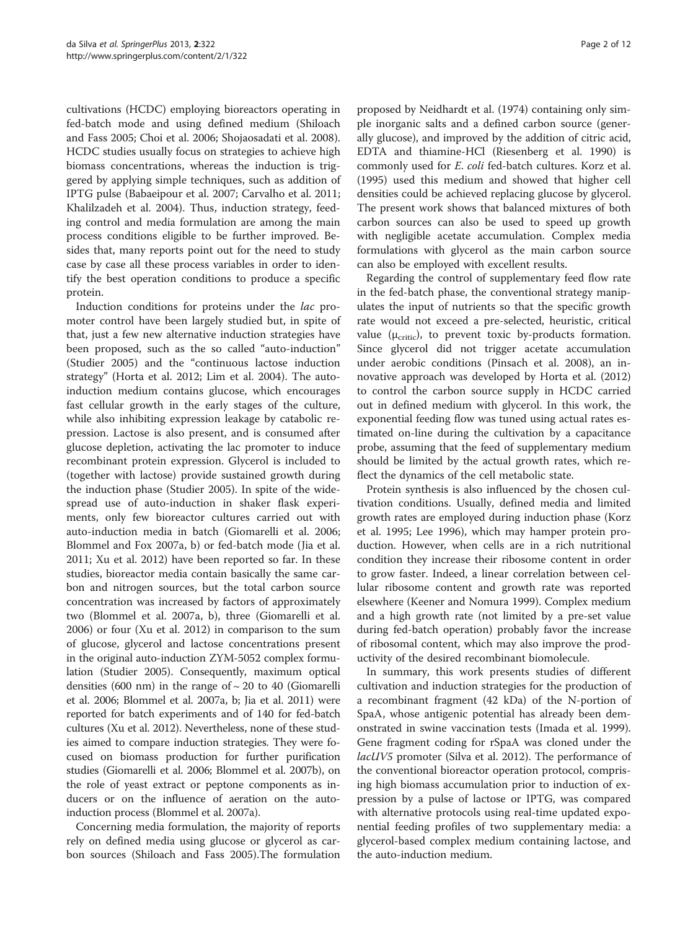cultivations (HCDC) employing bioreactors operating in fed-batch mode and using defined medium (Shiloach and Fass [2005](#page-11-0); Choi et al. [2006](#page-10-0); Shojaosadati et al. [2008](#page-11-0)). HCDC studies usually focus on strategies to achieve high biomass concentrations, whereas the induction is triggered by applying simple techniques, such as addition of IPTG pulse (Babaeipour et al. [2007](#page-10-0); Carvalho et al. [2011](#page-10-0); Khalilzadeh et al. [2004\)](#page-10-0). Thus, induction strategy, feeding control and media formulation are among the main process conditions eligible to be further improved. Besides that, many reports point out for the need to study case by case all these process variables in order to identify the best operation conditions to produce a specific protein.

Induction conditions for proteins under the lac promoter control have been largely studied but, in spite of that, just a few new alternative induction strategies have been proposed, such as the so called "auto-induction" (Studier [2005\)](#page-11-0) and the "continuous lactose induction strategy" (Horta et al. [2012](#page-10-0); Lim et al. [2004](#page-10-0)). The autoinduction medium contains glucose, which encourages fast cellular growth in the early stages of the culture, while also inhibiting expression leakage by catabolic repression. Lactose is also present, and is consumed after glucose depletion, activating the lac promoter to induce recombinant protein expression. Glycerol is included to (together with lactose) provide sustained growth during the induction phase (Studier [2005](#page-11-0)). In spite of the widespread use of auto-induction in shaker flask experiments, only few bioreactor cultures carried out with auto-induction media in batch (Giomarelli et al. [2006](#page-10-0); Blommel and Fox [2007a](#page-10-0), [b\)](#page-10-0) or fed-batch mode (Jia et al. [2011](#page-10-0); Xu et al. [2012\)](#page-11-0) have been reported so far. In these studies, bioreactor media contain basically the same carbon and nitrogen sources, but the total carbon source concentration was increased by factors of approximately two (Blommel et al. [2007a](#page-10-0), [b\)](#page-10-0), three (Giomarelli et al. [2006](#page-10-0)) or four (Xu et al. [2012\)](#page-11-0) in comparison to the sum of glucose, glycerol and lactose concentrations present in the original auto-induction ZYM-5052 complex formulation (Studier [2005\).](#page-11-0) Consequently, maximum optical densities (600 nm) in the range of  $\sim$  20 to 40 (Giomarelli et al. [2006](#page-10-0); Blommel et al. [2007a](#page-10-0), [b](#page-10-0); Jia et al. [2011\)](#page-10-0) were reported for batch experiments and of 140 for fed-batch cultures (Xu et al. [2012\)](#page-11-0). Nevertheless, none of these studies aimed to compare induction strategies. They were focused on biomass production for further purification studies (Giomarelli et al. [2006;](#page-10-0) Blommel et al. [2007b\)](#page-10-0), on the role of yeast extract or peptone components as inducers or on the influence of aeration on the autoinduction process (Blommel et al. [2007a](#page-10-0)).

Concerning media formulation, the majority of reports rely on defined media using glucose or glycerol as carbon sources (Shiloach and Fass [2005\)](#page-11-0).The formulation

proposed by Neidhardt et al. [\(1974\)](#page-10-0) containing only simple inorganic salts and a defined carbon source (generally glucose), and improved by the addition of citric acid, EDTA and thiamine-HCl (Riesenberg et al. [1990\)](#page-10-0) is commonly used for E. coli fed-batch cultures. Korz et al. ([1995\)](#page-10-0) used this medium and showed that higher cell densities could be achieved replacing glucose by glycerol. The present work shows that balanced mixtures of both carbon sources can also be used to speed up growth with negligible acetate accumulation. Complex media formulations with glycerol as the main carbon source can also be employed with excellent results.

Regarding the control of supplementary feed flow rate in the fed-batch phase, the conventional strategy manipulates the input of nutrients so that the specific growth rate would not exceed a pre-selected, heuristic, critical value ( $\mu_{\text{critic}}$ ), to prevent toxic by-products formation. Since glycerol did not trigger acetate accumulation under aerobic conditions (Pinsach et al. [2008\)](#page-10-0), an innovative approach was developed by Horta et al. ([2012](#page-10-0)) to control the carbon source supply in HCDC carried out in defined medium with glycerol. In this work, the exponential feeding flow was tuned using actual rates estimated on-line during the cultivation by a capacitance probe, assuming that the feed of supplementary medium should be limited by the actual growth rates, which reflect the dynamics of the cell metabolic state.

Protein synthesis is also influenced by the chosen cultivation conditions. Usually, defined media and limited growth rates are employed during induction phase (Korz et al. [1995](#page-10-0); Lee [1996](#page-10-0)), which may hamper protein production. However, when cells are in a rich nutritional condition they increase their ribosome content in order to grow faster. Indeed, a linear correlation between cellular ribosome content and growth rate was reported elsewhere (Keener and Nomura [1999\)](#page-10-0). Complex medium and a high growth rate (not limited by a pre-set value during fed-batch operation) probably favor the increase of ribosomal content, which may also improve the productivity of the desired recombinant biomolecule.

In summary, this work presents studies of different cultivation and induction strategies for the production of a recombinant fragment (42 kDa) of the N-portion of SpaA, whose antigenic potential has already been demonstrated in swine vaccination tests (Imada et al. [1999](#page-10-0)). Gene fragment coding for rSpaA was cloned under the lacUV5 promoter (Silva et al. [2012](#page-11-0)). The performance of the conventional bioreactor operation protocol, comprising high biomass accumulation prior to induction of expression by a pulse of lactose or IPTG, was compared with alternative protocols using real-time updated exponential feeding profiles of two supplementary media: a glycerol-based complex medium containing lactose, and the auto-induction medium.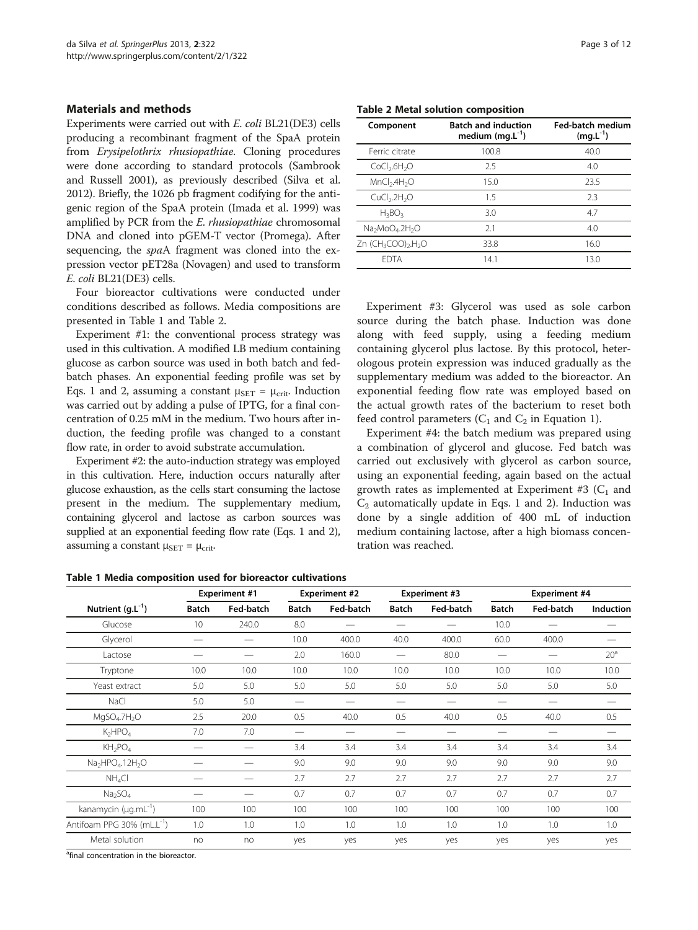#### <span id="page-2-0"></span>Materials and methods

Experiments were carried out with E. coli BL21(DE3) cells producing a recombinant fragment of the SpaA protein from Erysipelothrix rhusiopathiae. Cloning procedures were done according to standard protocols (Sambrook and Russell [2001](#page-10-0)), as previously described (Silva et al. [2012\)](#page-11-0). Briefly, the 1026 pb fragment codifying for the antigenic region of the SpaA protein (Imada et al. [1999\)](#page-10-0) was amplified by PCR from the E. rhusiopathiae chromosomal DNA and cloned into pGEM-T vector (Promega). After sequencing, the spaA fragment was cloned into the expression vector pET28a (Novagen) and used to transform E. coli BL21(DE3) cells.

Four bioreactor cultivations were conducted under conditions described as follows. Media compositions are presented in Table 1 and Table 2.

Experiment #1: the conventional process strategy was used in this cultivation. A modified LB medium containing glucose as carbon source was used in both batch and fedbatch phases. An exponential feeding profile was set by Eqs. [1](#page-3-0) and [2](#page-3-0), assuming a constant  $\mu_{\text{SET}} = \mu_{\text{crit}}$ . Induction was carried out by adding a pulse of IPTG, for a final concentration of 0.25 mM in the medium. Two hours after induction, the feeding profile was changed to a constant flow rate, in order to avoid substrate accumulation.

Experiment #2: the auto-induction strategy was employed in this cultivation. Here, induction occurs naturally after glucose exhaustion, as the cells start consuming the lactose present in the medium. The supplementary medium, containing glycerol and lactose as carbon sources was supplied at an exponential feeding flow rate (Eqs. [1](#page-3-0) and [2](#page-3-0)), assuming a constant  $\mu_{SET} = \mu_{crit}$ .

Table 2 Metal solution composition

| Component                                               | <b>Batch and induction</b><br>medium $(mg.L^{-1})$ | <b>Fed-batch medium</b><br>$(mg.L^{-1})$ |  |  |
|---------------------------------------------------------|----------------------------------------------------|------------------------------------------|--|--|
| Ferric citrate                                          | 100.8                                              | 40.0                                     |  |  |
| CoCl <sub>2</sub> .6H <sub>2</sub> O                    | 2.5                                                | 4.0                                      |  |  |
| MnCl <sub>2</sub> .4H <sub>2</sub> O                    | 15.0                                               | 23.5                                     |  |  |
| CuCl <sub>2</sub> .2H <sub>2</sub> O                    | 1.5                                                | 2.3                                      |  |  |
| $H_3BO_3$                                               | 3.0                                                | 4.7                                      |  |  |
| $Na2MoO4.2H2O$                                          | 2.1                                                | 4.0                                      |  |  |
| Zn (CH <sub>3</sub> COO) <sub>2</sub> .H <sub>2</sub> O | 33.8                                               | 16.0                                     |  |  |
| <b>FDTA</b>                                             | 14.1                                               | 13.0                                     |  |  |

Experiment #3: Glycerol was used as sole carbon source during the batch phase. Induction was done along with feed supply, using a feeding medium containing glycerol plus lactose. By this protocol, heterologous protein expression was induced gradually as the supplementary medium was added to the bioreactor. An exponential feeding flow rate was employed based on the actual growth rates of the bacterium to reset both feed control parameters  $(C_1$  and  $C_2$  in Equation [1](#page-3-0)).

Experiment #4: the batch medium was prepared using a combination of glycerol and glucose. Fed batch was carried out exclusively with glycerol as carbon source, using an exponential feeding, again based on the actual growth rates as implemented at Experiment #3  $(C_1$  and  $C_2$  automatically update in Eqs. [1](#page-3-0) and [2](#page-3-0)). Induction was done by a single addition of 400 mL of induction medium containing lactose, after a high biomass concentration was reached.

|                                        | <b>Experiment #1</b> |           | <b>Experiment #2</b> |           | <b>Experiment #3</b> |           | <b>Experiment #4</b> |           |                  |
|----------------------------------------|----------------------|-----------|----------------------|-----------|----------------------|-----------|----------------------|-----------|------------------|
| Nutrient $(g.L^{-1})$                  | <b>Batch</b>         | Fed-batch | <b>Batch</b>         | Fed-batch | <b>Batch</b>         | Fed-batch | <b>Batch</b>         | Fed-batch | <b>Induction</b> |
| Glucose                                | 10                   | 240.0     | 8.0                  |           |                      |           | 10.0                 |           |                  |
| Glycerol                               |                      |           | 10.0                 | 400.0     | 40.0                 | 400.0     | 60.0                 | 400.0     |                  |
| Lactose                                |                      |           | 2.0                  | 160.0     |                      | 80.0      | —                    |           | 20 <sup>a</sup>  |
| Tryptone                               | 10.0                 | 10.0      | 10.0                 | 10.0      | 10.0                 | 10.0      | 10.0                 | 10.0      | 10.0             |
| Yeast extract                          | 5.0                  | 5.0       | 5.0                  | 5.0       | 5.0                  | 5.0       | 5.0                  | 5.0       | 5.0              |
| NaCl                                   | 5.0                  | 5.0       |                      |           |                      |           |                      |           |                  |
| MqSO <sub>4</sub> .7H <sub>2</sub> O   | 2.5                  | 20.0      | 0.5                  | 40.0      | 0.5                  | 40.0      | 0.5                  | 40.0      | 0.5              |
| K <sub>2</sub> HPO <sub>4</sub>        | 7.0                  | 7.0       |                      | --        |                      |           | —                    |           |                  |
| $KH_2PO_4$                             |                      |           | 3.4                  | 3.4       | 3.4                  | 3.4       | 3.4                  | 3.4       | 3.4              |
| $Na2HPO4.12H2O$                        |                      |           | 9.0                  | 9.0       | 9.0                  | 9.0       | 9.0                  | 9.0       | 9.0              |
| NH <sub>4</sub> Cl                     |                      |           | 2.7                  | 2.7       | 2.7                  | 2.7       | 2.7                  | 2.7       | 2.7              |
| Na <sub>2</sub> SO <sub>4</sub>        |                      |           | 0.7                  | 0.7       | 0.7                  | 0.7       | 0.7                  | 0.7       | 0.7              |
| kanamycin ( $\mu$ g.mL <sup>-1</sup> ) | 100                  | 100       | 100                  | 100       | 100                  | 100       | 100                  | 100       | 100              |
| Antifoam PPG 30% (mL.L <sup>-1</sup> ) | 1.0                  | 1.0       | 1.0                  | 1.0       | 1.0                  | 1.0       | 1.0                  | 1.0       | 1.0              |
| Metal solution                         | no                   | no        | yes                  | yes       | yes                  | yes       | yes                  | yes       | yes              |

Table 1 Media composition used for bioreactor cultivations

<sup>a</sup>final concentration in the bioreactor.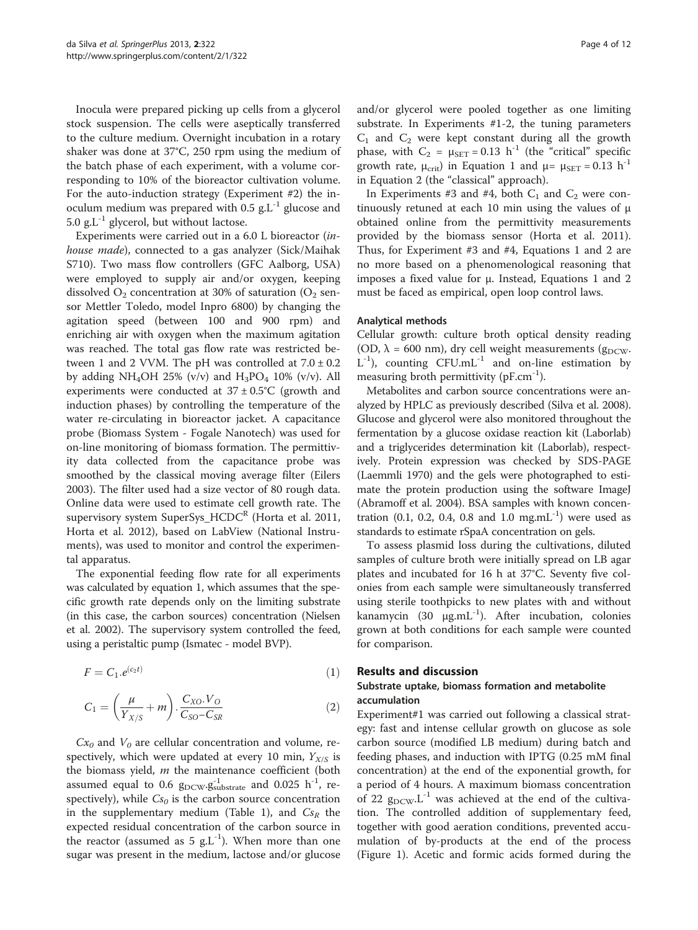<span id="page-3-0"></span>Inocula were prepared picking up cells from a glycerol stock suspension. The cells were aseptically transferred to the culture medium. Overnight incubation in a rotary shaker was done at 37°C, 250 rpm using the medium of the batch phase of each experiment, with a volume corresponding to 10% of the bioreactor cultivation volume. For the auto-induction strategy (Experiment #2) the inoculum medium was prepared with 0.5  $g<sub>L</sub>$ <sup>-1</sup> glucose and 5.0 g.L<sup>-1</sup> glycerol, but without lactose.

Experiments were carried out in a 6.0 L bioreactor (inhouse made), connected to a gas analyzer (Sick/Maihak S710). Two mass flow controllers (GFC Aalborg, USA) were employed to supply air and/or oxygen, keeping dissolved  $O_2$  concentration at 30% of saturation ( $O_2$  sensor Mettler Toledo, model Inpro 6800) by changing the agitation speed (between 100 and 900 rpm) and enriching air with oxygen when the maximum agitation was reached. The total gas flow rate was restricted between 1 and 2 VVM. The pH was controlled at  $7.0 \pm 0.2$ by adding NH<sub>4</sub>OH 25% (v/v) and  $H_3PO_4$  10% (v/v). All experiments were conducted at  $37 \pm 0.5^{\circ}$ C (growth and induction phases) by controlling the temperature of the water re-circulating in bioreactor jacket. A capacitance probe (Biomass System - Fogale Nanotech) was used for on-line monitoring of biomass formation. The permittivity data collected from the capacitance probe was smoothed by the classical moving average filter (Eilers [2003](#page-10-0)). The filter used had a size vector of 80 rough data. Online data were used to estimate cell growth rate. The supervisory system SuperSys  $HCDC<sup>R</sup>$  (Horta et al. [2011](#page-10-0), Horta et al. [2012](#page-10-0)), based on LabView (National Instruments), was used to monitor and control the experimental apparatus.

The exponential feeding flow rate for all experiments was calculated by equation 1, which assumes that the specific growth rate depends only on the limiting substrate (in this case, the carbon sources) concentration (Nielsen et al. [2002](#page-10-0)). The supervisory system controlled the feed, using a peristaltic pump (Ismatec - model BVP).

$$
F = C_1.e^{(c_2 t)} \tag{1}
$$

$$
C_1 = \left(\frac{\mu}{Y_{X/S}} + m\right) \cdot \frac{C_{XO} \cdot V_O}{C_{SO} - C_{SR}}
$$
 (2)

 $Cx_0$  and  $V_0$  are cellular concentration and volume, respectively, which were updated at every 10 min,  $Y_{X/S}$  is the biomass yield,  $m$  the maintenance coefficient (both assumed equal to 0.6  $g_{\text{DCW}}.g_{\text{substrate}}^{-1}$  and 0.025  $\rm h^{-1}$ , respectively), while  $Cs<sub>0</sub>$  is the carbon source concentration in the supplementary medium (Table [1](#page-2-0)), and  $Cs<sub>R</sub>$  the expected residual concentration of the carbon source in the reactor (assumed as  $5 \text{ g.L}^{-1}$ ). When more than one sugar was present in the medium, lactose and/or glucose

and/or glycerol were pooled together as one limiting substrate. In Experiments #1-2, the tuning parameters  $C_1$  and  $C_2$  were kept constant during all the growth phase, with  $C_2 = \mu_{\text{SET}} = 0.13 \text{ h}^{-1}$  (the "critical" specific growth rate,  $\mu_{\text{crit}}$ ) in Equation 1 and  $\mu = \mu_{\text{SET}} = 0.13 \text{ h}^{-1}$ in Equation 2 (the "classical" approach).

In Experiments #3 and #4, both  $C_1$  and  $C_2$  were continuously retuned at each 10 min using the values of μ obtained online from the permittivity measurements provided by the biomass sensor (Horta et al. [2011](#page-10-0)). Thus, for Experiment #3 and #4, Equations 1 and 2 are no more based on a phenomenological reasoning that imposes a fixed value for μ. Instead, Equations 1 and 2 must be faced as empirical, open loop control laws.

#### Analytical methods

Cellular growth: culture broth optical density reading (OD,  $\lambda$  = 600 nm), dry cell weight measurements ( $g_{DCW}$ .  $L^{-1}$ ), counting CFU.mL<sup>-1</sup> and on-line estimation by measuring broth permittivity (pF.cm<sup>-1</sup>).

Metabolites and carbon source concentrations were analyzed by HPLC as previously described (Silva et al. [2008](#page-11-0)). Glucose and glycerol were also monitored throughout the fermentation by a glucose oxidase reaction kit (Laborlab) and a triglycerides determination kit (Laborlab), respectively. Protein expression was checked by SDS-PAGE (Laemmli [1970](#page-10-0)) and the gels were photographed to estimate the protein production using the software ImageJ (Abramoff et al. [2004](#page-10-0)). BSA samples with known concentration (0.1, 0.2, 0.4, 0.8 and 1.0 mg.mL<sup>-1</sup>) were used as standards to estimate rSpaA concentration on gels.

To assess plasmid loss during the cultivations, diluted samples of culture broth were initially spread on LB agar plates and incubated for 16 h at 37°C. Seventy five colonies from each sample were simultaneously transferred using sterile toothpicks to new plates with and without kanamycin (30  $\mu$ g.mL<sup>-1</sup>). After incubation, colonies grown at both conditions for each sample were counted for comparison.

#### Results and discussion

#### Substrate uptake, biomass formation and metabolite accumulation

Experiment#1 was carried out following a classical strategy: fast and intense cellular growth on glucose as sole carbon source (modified LB medium) during batch and feeding phases, and induction with IPTG (0.25 mM final concentration) at the end of the exponential growth, for a period of 4 hours. A maximum biomass concentration of 22  $g_{DCW}L^{-1}$  was achieved at the end of the cultivation. The controlled addition of supplementary feed, together with good aeration conditions, prevented accumulation of by-products at the end of the process (Figure [1](#page-4-0)). Acetic and formic acids formed during the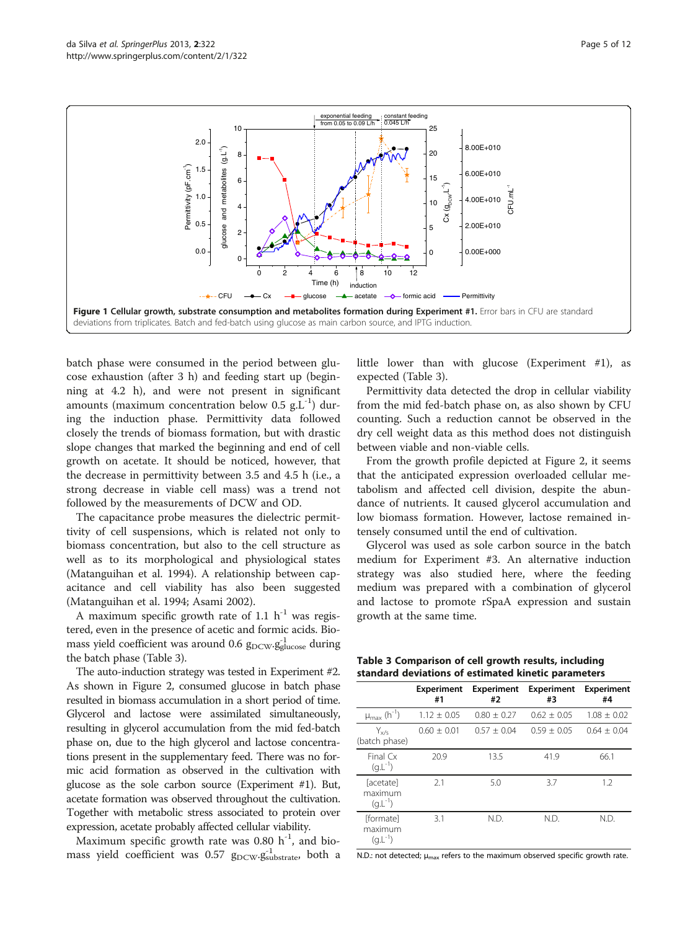<span id="page-4-0"></span>

batch phase were consumed in the period between glucose exhaustion (after 3 h) and feeding start up (beginning at 4.2 h), and were not present in significant amounts (maximum concentration below  $0.5$  g.L<sup>-1</sup>) during the induction phase. Permittivity data followed closely the trends of biomass formation, but with drastic slope changes that marked the beginning and end of cell growth on acetate. It should be noticed, however, that the decrease in permittivity between 3.5 and 4.5 h (i.e., a strong decrease in viable cell mass) was a trend not followed by the measurements of DCW and OD.

The capacitance probe measures the dielectric permittivity of cell suspensions, which is related not only to biomass concentration, but also to the cell structure as well as to its morphological and physiological states (Matanguihan et al. [1994\)](#page-10-0). A relationship between capacitance and cell viability has also been suggested (Matanguihan et al. [1994](#page-10-0); Asami [2002\)](#page-10-0).

A maximum specific growth rate of 1.1  $h^{-1}$  was registered, even in the presence of acetic and formic acids. Biomass yield coefficient was around 0.6  $\rm g_{DCW}\rm g_{gluose}^{-1}$  during the batch phase (Table 3).

The auto-induction strategy was tested in Experiment #2. As shown in Figure [2,](#page-5-0) consumed glucose in batch phase resulted in biomass accumulation in a short period of time. Glycerol and lactose were assimilated simultaneously, resulting in glycerol accumulation from the mid fed-batch phase on, due to the high glycerol and lactose concentrations present in the supplementary feed. There was no formic acid formation as observed in the cultivation with glucose as the sole carbon source (Experiment #1). But, acetate formation was observed throughout the cultivation. Together with metabolic stress associated to protein over expression, acetate probably affected cellular viability.

Maximum specific growth rate was  $0.80$  h<sup>-1</sup>, and biomass yield coefficient was 0.57  $g_{\text{DCW}}. g^{-1}_{\text{substrate}}$ , both a

little lower than with glucose (Experiment #1), as expected (Table 3).

Permittivity data detected the drop in cellular viability from the mid fed-batch phase on, as also shown by CFU counting. Such a reduction cannot be observed in the dry cell weight data as this method does not distinguish between viable and non-viable cells.

From the growth profile depicted at Figure [2](#page-5-0), it seems that the anticipated expression overloaded cellular metabolism and affected cell division, despite the abundance of nutrients. It caused glycerol accumulation and low biomass formation. However, lactose remained intensely consumed until the end of cultivation.

Glycerol was used as sole carbon source in the batch medium for Experiment #3. An alternative induction strategy was also studied here, where the feeding medium was prepared with a combination of glycerol and lactose to promote rSpaA expression and sustain growth at the same time.

| Table 3 Comparison of cell growth results, including |
|------------------------------------------------------|
| standard deviations of estimated kinetic parameters  |

|                                             | <b>Experiment</b><br>#1 | <b>Experiment</b><br>#2 | <b>Experiment</b><br>#3 | <b>Experiment</b><br>#4 |
|---------------------------------------------|-------------------------|-------------------------|-------------------------|-------------------------|
| $\mu_{max}$ (h <sup>-1</sup> )              | $1.12 + 0.05$           | $0.80 + 0.27$           | $0.62 + 0.05$           | $1.08 \pm 0.02$         |
| $Y_{x/s}$<br>(batch phase)                  | $0.60 + 0.01$           | $0.57 + 0.04$           | $0.59 + 0.05$           | $0.64 + 0.04$           |
| Final $Cx$<br>$(g.L^{-1})$                  | 20.9                    | 13.5                    | 41.9                    | 66.1                    |
| [acetate]<br>maximum<br>$(q.L^{-1})$        | 2.1                     | 5.0                     | 3.7                     | 1.2                     |
| <b>fformatel</b><br>maximum<br>$(q.L^{-1})$ | 3.1                     | N.D.                    | N.D.                    | N.D.                    |

N.D.: not detected;  $\mu_{\text{max}}$  refers to the maximum observed specific growth rate.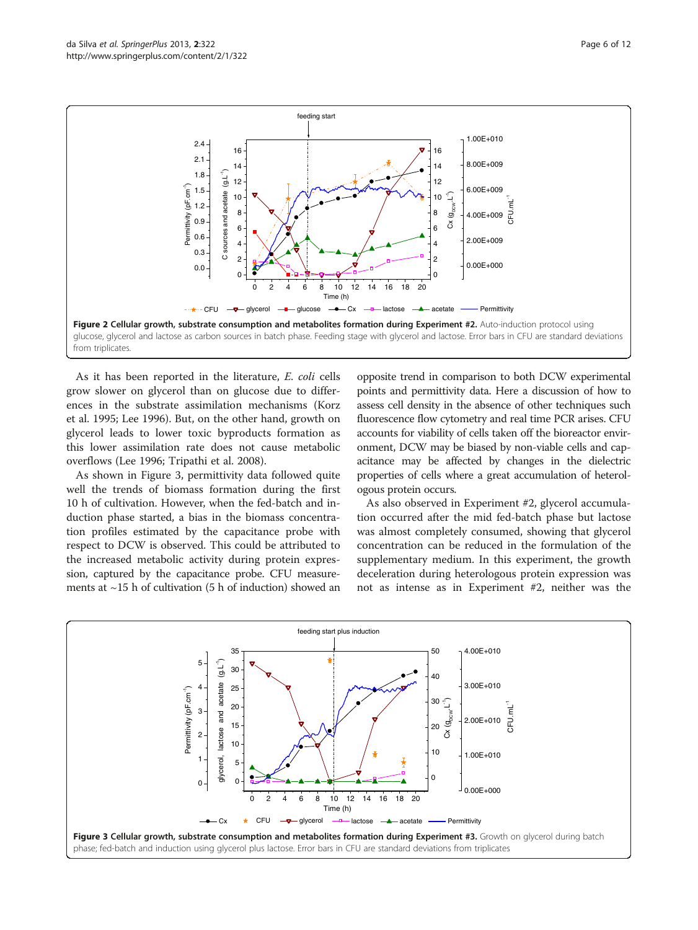<span id="page-5-0"></span>

As it has been reported in the literature, E. coli cells grow slower on glycerol than on glucose due to differences in the substrate assimilation mechanisms (Korz et al. [1995;](#page-10-0) Lee [1996\)](#page-10-0). But, on the other hand, growth on glycerol leads to lower toxic byproducts formation as this lower assimilation rate does not cause metabolic overflows (Lee [1996;](#page-10-0) Tripathi et al. [2008](#page-11-0)).

As shown in Figure 3, permittivity data followed quite well the trends of biomass formation during the first 10 h of cultivation. However, when the fed-batch and induction phase started, a bias in the biomass concentration profiles estimated by the capacitance probe with respect to DCW is observed. This could be attributed to the increased metabolic activity during protein expression, captured by the capacitance probe. CFU measurements at  $\sim$ 15 h of cultivation (5 h of induction) showed an

opposite trend in comparison to both DCW experimental points and permittivity data. Here a discussion of how to assess cell density in the absence of other techniques such fluorescence flow cytometry and real time PCR arises. CFU accounts for viability of cells taken off the bioreactor environment, DCW may be biased by non-viable cells and capacitance may be affected by changes in the dielectric properties of cells where a great accumulation of heterologous protein occurs.

As also observed in Experiment #2, glycerol accumulation occurred after the mid fed-batch phase but lactose was almost completely consumed, showing that glycerol concentration can be reduced in the formulation of the supplementary medium. In this experiment, the growth deceleration during heterologous protein expression was not as intense as in Experiment #2, neither was the

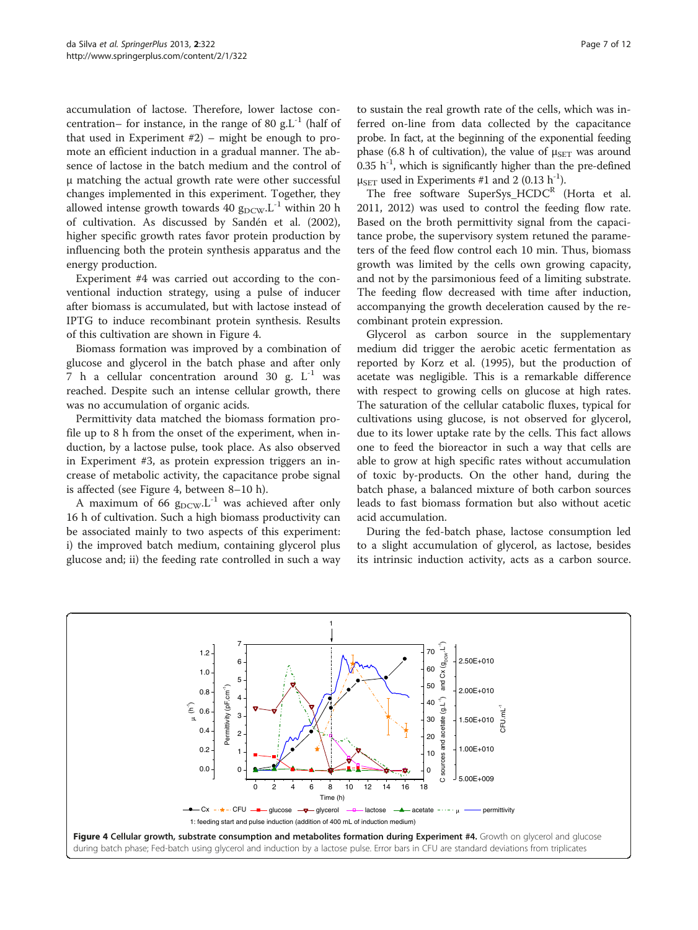accumulation of lactose. Therefore, lower lactose concentration– for instance, in the range of 80 g. $L^{-1}$  (half of that used in Experiment #2) – might be enough to promote an efficient induction in a gradual manner. The absence of lactose in the batch medium and the control of μ matching the actual growth rate were other successful changes implemented in this experiment. Together, they allowed intense growth towards 40  $g_{DCW}L^{-1}$  within 20 h of cultivation. As discussed by Sandén et al. ([2002](#page-10-0)), higher specific growth rates favor protein production by influencing both the protein synthesis apparatus and the energy production.

Experiment #4 was carried out according to the conventional induction strategy, using a pulse of inducer after biomass is accumulated, but with lactose instead of IPTG to induce recombinant protein synthesis. Results of this cultivation are shown in Figure 4.

Biomass formation was improved by a combination of glucose and glycerol in the batch phase and after only 7 h a cellular concentration around 30 g.  $L^{-1}$  was reached. Despite such an intense cellular growth, there was no accumulation of organic acids.

Permittivity data matched the biomass formation profile up to 8 h from the onset of the experiment, when induction, by a lactose pulse, took place. As also observed in Experiment #3, as protein expression triggers an increase of metabolic activity, the capacitance probe signal is affected (see Figure 4, between 8–10 h).

A maximum of 66  $g_{DCW}$ . L<sup>-1</sup> was achieved after only 16 h of cultivation. Such a high biomass productivity can be associated mainly to two aspects of this experiment: i) the improved batch medium, containing glycerol plus glucose and; ii) the feeding rate controlled in such a way

to sustain the real growth rate of the cells, which was inferred on-line from data collected by the capacitance probe. In fact, at the beginning of the exponential feeding phase (6.8 h of cultivation), the value of  $\mu_{\text{SET}}$  was around  $0.35$  h<sup>-1</sup>, which is significantly higher than the pre-defined μ<sub>SET</sub> used in Experiments #1 and 2 (0.13 h<sup>-1</sup>).

The free software SuperSys  $HCDC<sup>R</sup>$  (Horta et al. [2011](#page-10-0), [2012\)](#page-10-0) was used to control the feeding flow rate. Based on the broth permittivity signal from the capacitance probe, the supervisory system retuned the parameters of the feed flow control each 10 min. Thus, biomass growth was limited by the cells own growing capacity, and not by the parsimonious feed of a limiting substrate. The feeding flow decreased with time after induction, accompanying the growth deceleration caused by the recombinant protein expression.

Glycerol as carbon source in the supplementary medium did trigger the aerobic acetic fermentation as reported by Korz et al. ([1995](#page-10-0)), but the production of acetate was negligible. This is a remarkable difference with respect to growing cells on glucose at high rates. The saturation of the cellular catabolic fluxes, typical for cultivations using glucose, is not observed for glycerol, due to its lower uptake rate by the cells. This fact allows one to feed the bioreactor in such a way that cells are able to grow at high specific rates without accumulation of toxic by-products. On the other hand, during the batch phase, a balanced mixture of both carbon sources leads to fast biomass formation but also without acetic acid accumulation.

During the fed-batch phase, lactose consumption led to a slight accumulation of glycerol, as lactose, besides its intrinsic induction activity, acts as a carbon source.

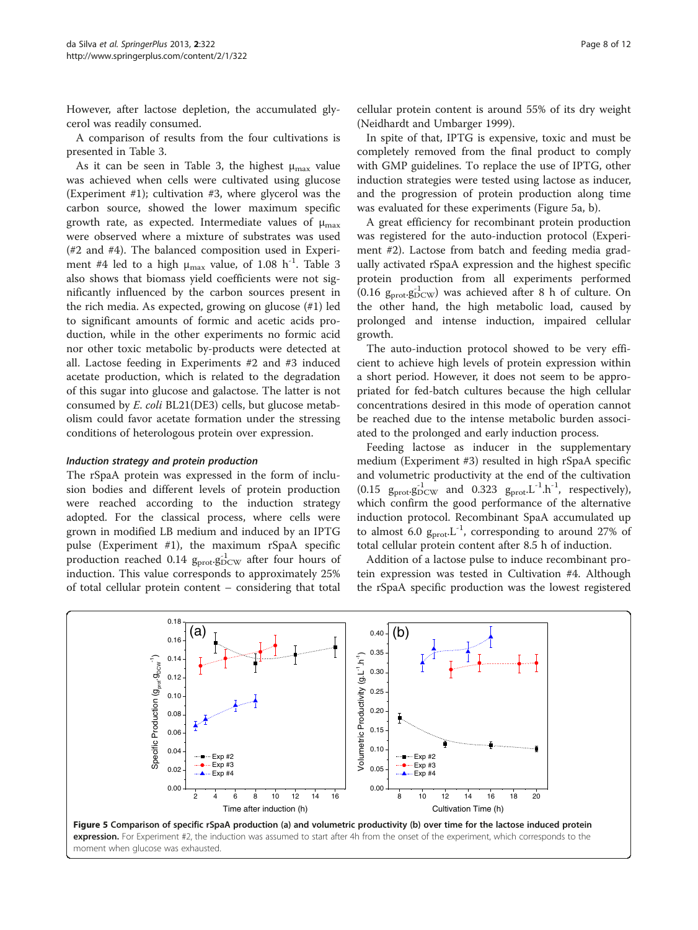<span id="page-7-0"></span>However, after lactose depletion, the accumulated glycerol was readily consumed.

A comparison of results from the four cultivations is presented in Table [3](#page-4-0).

As it can be seen in Table [3,](#page-4-0) the highest  $\mu_{\text{max}}$  value was achieved when cells were cultivated using glucose (Experiment #1); cultivation #3, where glycerol was the carbon source, showed the lower maximum specific growth rate, as expected. Intermediate values of  $\mu_{\text{max}}$ were observed where a mixture of substrates was used (#2 and #4). The balanced composition used in Experiment #4 led to a high  $\mu_{\text{max}}$  value, of 1.08 h<sup>-1</sup>. Table [3](#page-4-0) also shows that biomass yield coefficients were not significantly influenced by the carbon sources present in the rich media. As expected, growing on glucose (#1) led to significant amounts of formic and acetic acids production, while in the other experiments no formic acid nor other toxic metabolic by-products were detected at all. Lactose feeding in Experiments #2 and #3 induced acetate production, which is related to the degradation of this sugar into glucose and galactose. The latter is not consumed by E. coli BL21(DE3) cells, but glucose metabolism could favor acetate formation under the stressing conditions of heterologous protein over expression.

#### Induction strategy and protein production

The rSpaA protein was expressed in the form of inclusion bodies and different levels of protein production were reached according to the induction strategy adopted. For the classical process, where cells were grown in modified LB medium and induced by an IPTG pulse (Experiment #1), the maximum rSpaA specific production reached 0.14  $g_{\text{prot}}g_{\text{DCW}}^{-1}$  after four hours of induction. This value corresponds to approximately 25% of total cellular protein content – considering that total cellular protein content is around 55% of its dry weight (Neidhardt and Umbarger [1999](#page-10-0)).

In spite of that, IPTG is expensive, toxic and must be completely removed from the final product to comply with GMP guidelines. To replace the use of IPTG, other induction strategies were tested using lactose as inducer, and the progression of protein production along time was evaluated for these experiments (Figure 5a, b).

A great efficiency for recombinant protein production was registered for the auto-induction protocol (Experiment #2). Lactose from batch and feeding media gradually activated rSpaA expression and the highest specific protein production from all experiments performed (0.16  $g_{prot}.g_{DCW}^{1}$ ) was achieved after 8 h of culture. On the other hand, the high metabolic load, caused by prolonged and intense induction, impaired cellular growth.

The auto-induction protocol showed to be very efficient to achieve high levels of protein expression within a short period. However, it does not seem to be appropriated for fed-batch cultures because the high cellular concentrations desired in this mode of operation cannot be reached due to the intense metabolic burden associated to the prolonged and early induction process.

Feeding lactose as inducer in the supplementary medium (Experiment #3) resulted in high rSpaA specific and volumetric productivity at the end of the cultivation (0.15  $g_{\text{prot}}g_{\text{DCW}}^{-1}$  and 0.323  $g_{\text{prot}}L^{-1}.h^{-1}$ , respectively), which confirm the good performance of the alternative induction protocol. Recombinant SpaA accumulated up to almost 6.0  $g_{\text{prot}}L^{-1}$ , corresponding to around 27% of total cellular protein content after 8.5 h of induction.

Addition of a lactose pulse to induce recombinant protein expression was tested in Cultivation #4. Although the rSpaA specific production was the lowest registered

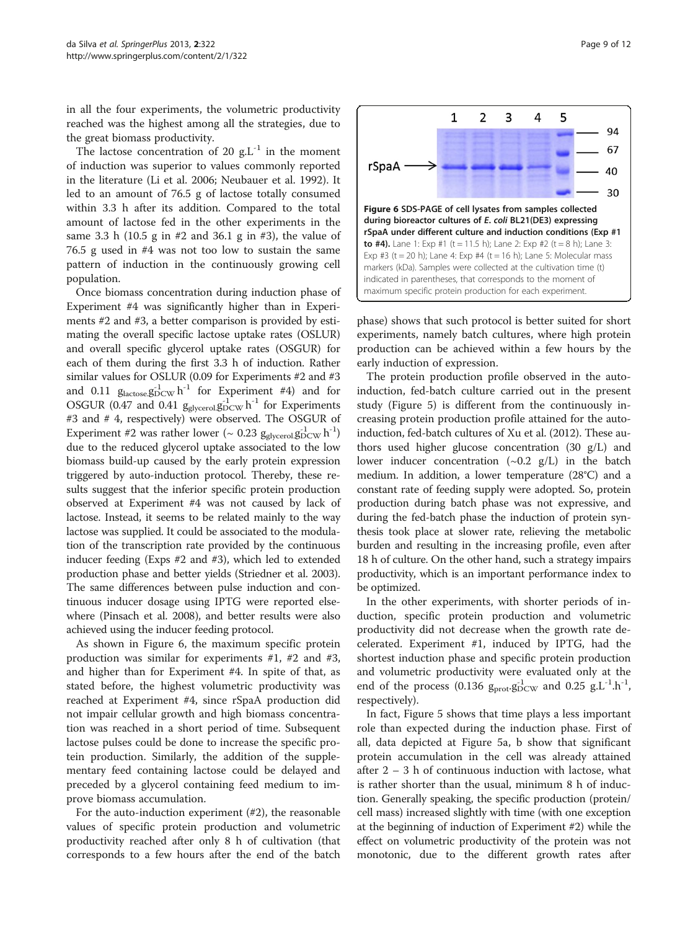in all the four experiments, the volumetric productivity reached was the highest among all the strategies, due to the great biomass productivity.

The lactose concentration of 20  $g.L^{-1}$  in the moment of induction was superior to values commonly reported in the literature (Li et al. [2006](#page-10-0); Neubauer et al. [1992](#page-10-0)). It led to an amount of 76.5 g of lactose totally consumed within 3.3 h after its addition. Compared to the total amount of lactose fed in the other experiments in the same 3.3 h (10.5 g in #2 and 36.1 g in #3), the value of 76.5 g used in #4 was not too low to sustain the same pattern of induction in the continuously growing cell population.

Once biomass concentration during induction phase of Experiment #4 was significantly higher than in Experiments #2 and #3, a better comparison is provided by estimating the overall specific lactose uptake rates (OSLUR) and overall specific glycerol uptake rates (OSGUR) for each of them during the first 3.3 h of induction. Rather similar values for OSLUR (0.09 for Experiments #2 and #3 and 0.11  $g_{\text{lactose}} g_{\text{DCW}}^{-1}$  for Experiment #4) and for OSGUR (0.47 and 0.41  $g_{glycero}g_{DCW}^{-1}$  for Experiments #3 and # 4, respectively) were observed. The OSGUR of Experiment #2 was rather lower (~ 0.23  $g_{\rm glycerol.} g_{\rm DCW}^{-1} \, h^{-1})$ due to the reduced glycerol uptake associated to the low biomass build-up caused by the early protein expression triggered by auto-induction protocol. Thereby, these results suggest that the inferior specific protein production observed at Experiment #4 was not caused by lack of lactose. Instead, it seems to be related mainly to the way lactose was supplied. It could be associated to the modulation of the transcription rate provided by the continuous inducer feeding (Exps #2 and #3), which led to extended production phase and better yields (Striedner et al. [2003](#page-11-0)). The same differences between pulse induction and continuous inducer dosage using IPTG were reported elsewhere (Pinsach et al. [2008](#page-10-0)), and better results were also achieved using the inducer feeding protocol.

As shown in Figure 6, the maximum specific protein production was similar for experiments #1, #2 and #3, and higher than for Experiment #4. In spite of that, as stated before, the highest volumetric productivity was reached at Experiment #4, since rSpaA production did not impair cellular growth and high biomass concentration was reached in a short period of time. Subsequent lactose pulses could be done to increase the specific protein production. Similarly, the addition of the supplementary feed containing lactose could be delayed and preceded by a glycerol containing feed medium to improve biomass accumulation.

For the auto-induction experiment  $(\#2)$ , the reasonable values of specific protein production and volumetric productivity reached after only 8 h of cultivation (that corresponds to a few hours after the end of the batch



phase) shows that such protocol is better suited for short experiments, namely batch cultures, where high protein production can be achieved within a few hours by the early induction of expression.

The protein production profile observed in the autoinduction, fed-batch culture carried out in the present study (Figure [5\)](#page-7-0) is different from the continuously increasing protein production profile attained for the autoinduction, fed-batch cultures of Xu et al. ([2012](#page-11-0)). These authors used higher glucose concentration (30 g/L) and lower inducer concentration  $(\sim 0.2 \text{ g/L})$  in the batch medium. In addition, a lower temperature (28°C) and a constant rate of feeding supply were adopted. So, protein production during batch phase was not expressive, and during the fed-batch phase the induction of protein synthesis took place at slower rate, relieving the metabolic burden and resulting in the increasing profile, even after 18 h of culture. On the other hand, such a strategy impairs productivity, which is an important performance index to be optimized.

In the other experiments, with shorter periods of induction, specific protein production and volumetric productivity did not decrease when the growth rate decelerated. Experiment #1, induced by IPTG, had the shortest induction phase and specific protein production and volumetric productivity were evaluated only at the end of the process (0.136  $g_{prot}.g_{DCW}^{-1}$  and 0.25  $g.L^{-1}.h^{-1}$ , respectively).

In fact, Figure [5](#page-7-0) shows that time plays a less important role than expected during the induction phase. First of all, data depicted at Figure [5](#page-7-0)a, b show that significant protein accumulation in the cell was already attained after  $2 - 3$  h of continuous induction with lactose, what is rather shorter than the usual, minimum 8 h of induction. Generally speaking, the specific production (protein/ cell mass) increased slightly with time (with one exception at the beginning of induction of Experiment #2) while the effect on volumetric productivity of the protein was not monotonic, due to the different growth rates after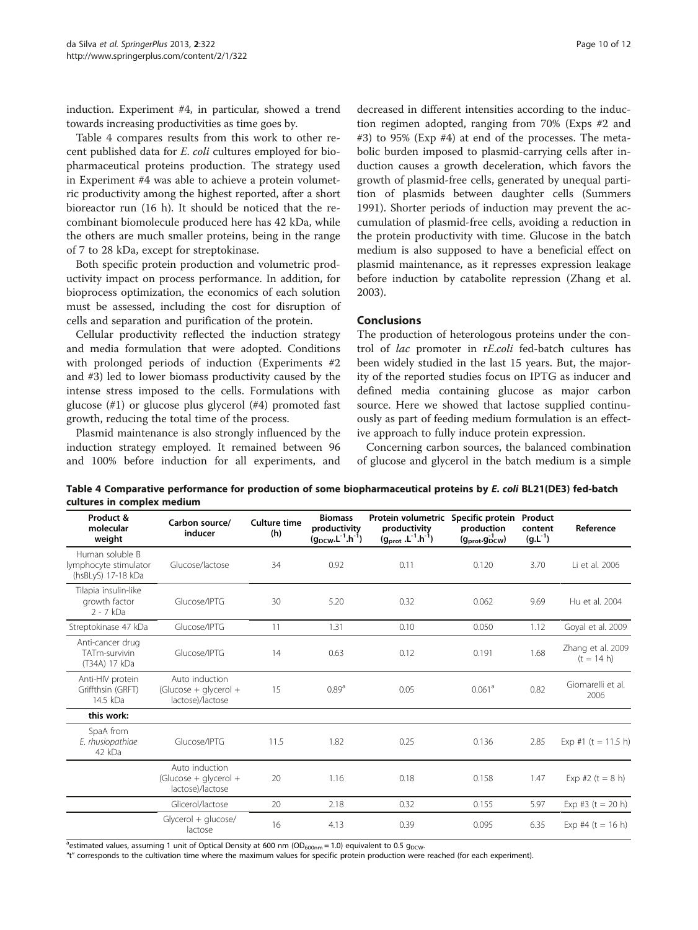induction. Experiment #4, in particular, showed a trend towards increasing productivities as time goes by.

Table 4 compares results from this work to other recent published data for E. coli cultures employed for biopharmaceutical proteins production. The strategy used in Experiment #4 was able to achieve a protein volumetric productivity among the highest reported, after a short bioreactor run (16 h). It should be noticed that the recombinant biomolecule produced here has 42 kDa, while the others are much smaller proteins, being in the range of 7 to 28 kDa, except for streptokinase.

Both specific protein production and volumetric productivity impact on process performance. In addition, for bioprocess optimization, the economics of each solution must be assessed, including the cost for disruption of cells and separation and purification of the protein.

Cellular productivity reflected the induction strategy and media formulation that were adopted. Conditions with prolonged periods of induction (Experiments #2 and #3) led to lower biomass productivity caused by the intense stress imposed to the cells. Formulations with glucose (#1) or glucose plus glycerol (#4) promoted fast growth, reducing the total time of the process.

Plasmid maintenance is also strongly influenced by the induction strategy employed. It remained between 96 and 100% before induction for all experiments, and

decreased in different intensities according to the induction regimen adopted, ranging from 70% (Exps #2 and #3) to 95% (Exp #4) at end of the processes. The metabolic burden imposed to plasmid-carrying cells after induction causes a growth deceleration, which favors the growth of plasmid-free cells, generated by unequal partition of plasmids between daughter cells (Summers [1991](#page-11-0)). Shorter periods of induction may prevent the accumulation of plasmid-free cells, avoiding a reduction in the protein productivity with time. Glucose in the batch medium is also supposed to have a beneficial effect on plasmid maintenance, as it represses expression leakage before induction by catabolite repression (Zhang et al. [2003](#page-11-0)).

#### Conclusions

The production of heterologous proteins under the control of lac promoter in rE.coli fed-batch cultures has been widely studied in the last 15 years. But, the majority of the reported studies focus on IPTG as inducer and defined media containing glucose as major carbon source. Here we showed that lactose supplied continuously as part of feeding medium formulation is an effective approach to fully induce protein expression.

Concerning carbon sources, the balanced combination of glucose and glycerol in the batch medium is a simple

Table 4 Comparative performance for production of some biopharmaceutical proteins by E. coli BL21(DE3) fed-batch cultures in complex medium

| Product &<br>molecular<br>weight                               | Carbon source/<br>inducer                                     | <b>Culture time</b><br>(h) | <b>Biomass</b><br>productivity<br>$(g_{DCW}.L^{-1}.h^{-1})$ | Protein volumetric Specific protein<br>productivity<br>$(g_{prot}.L^{-1}.h^{-1})$ | production<br>$(g_{\text{prot}}.g_{\text{DCW}}^{-1})$ | Product<br>content<br>$(g.L^{-1})$ | Reference                         |
|----------------------------------------------------------------|---------------------------------------------------------------|----------------------------|-------------------------------------------------------------|-----------------------------------------------------------------------------------|-------------------------------------------------------|------------------------------------|-----------------------------------|
| Human soluble B<br>lymphocyte stimulator<br>(hsBLyS) 17-18 kDa | Glucose/lactose                                               | 34                         | 0.92                                                        | 0.11                                                                              | 0.120                                                 | 3.70                               | Li et al. 2006                    |
| Tilapia insulin-like<br>growth factor<br>$2 - 7$ kDa           | Glucose/IPTG                                                  | 30                         | 5.20                                                        | 0.32                                                                              | 0.062                                                 | 9.69                               | Hu et al. 2004                    |
| Streptokinase 47 kDa                                           | Glucose/IPTG                                                  | 11                         | 1.31                                                        | 0.10                                                                              | 0.050                                                 | 1.12                               | Goyal et al. 2009                 |
| Anti-cancer drug<br>TATm-survivin<br>(T34A) 17 kDa             | Glucose/IPTG                                                  | 14                         | 0.63                                                        | 0.12                                                                              | 0.191                                                 | 1.68                               | Zhang et al. 2009<br>$(t = 14 h)$ |
| Anti-HIV protein<br>Griffthsin (GRFT)<br>14.5 kDa              | Auto induction<br>$(Glu\csc + q y\cec) +$<br>lactose)/lactose | 15                         | 0.89 <sup>a</sup>                                           | 0.05                                                                              | 0.061 <sup>a</sup>                                    | 0.82                               | Giomarelli et al.<br>2006         |
| this work:                                                     |                                                               |                            |                                                             |                                                                                   |                                                       |                                    |                                   |
| SpaA from<br>E. rhusiopathiae<br>42 kDa                        | Glucose/IPTG                                                  | 11.5                       | 1.82                                                        | 0.25                                                                              | 0.136                                                 | 2.85                               | Exp #1 (t = 11.5 h)               |
|                                                                | Auto induction<br>$(Glu\csc + q y\cec  +$<br>lactose)/lactose | 20                         | 1.16                                                        | 0.18                                                                              | 0.158                                                 | 1.47                               | Exp #2 $(t = 8 h)$                |
|                                                                | Glicerol/lactose                                              | 20                         | 2.18                                                        | 0.32                                                                              | 0.155                                                 | 5.97                               | Exp #3 $(t = 20 h)$               |
|                                                                | $Glycerol + glucose/$<br>lactose                              | 16                         | 4.13                                                        | 0.39                                                                              | 0.095                                                 | 6.35                               | Exp #4 $(t = 16 h)$               |

<sup>a</sup>estimated values, assuming 1 unit of Optical Density at 600 nm (OD<sub>600nm</sub> = 1.0) equivalent to 0.5 g<sub>DCW</sub>.

"t" corresponds to the cultivation time where the maximum values for specific protein production were reached (for each experiment).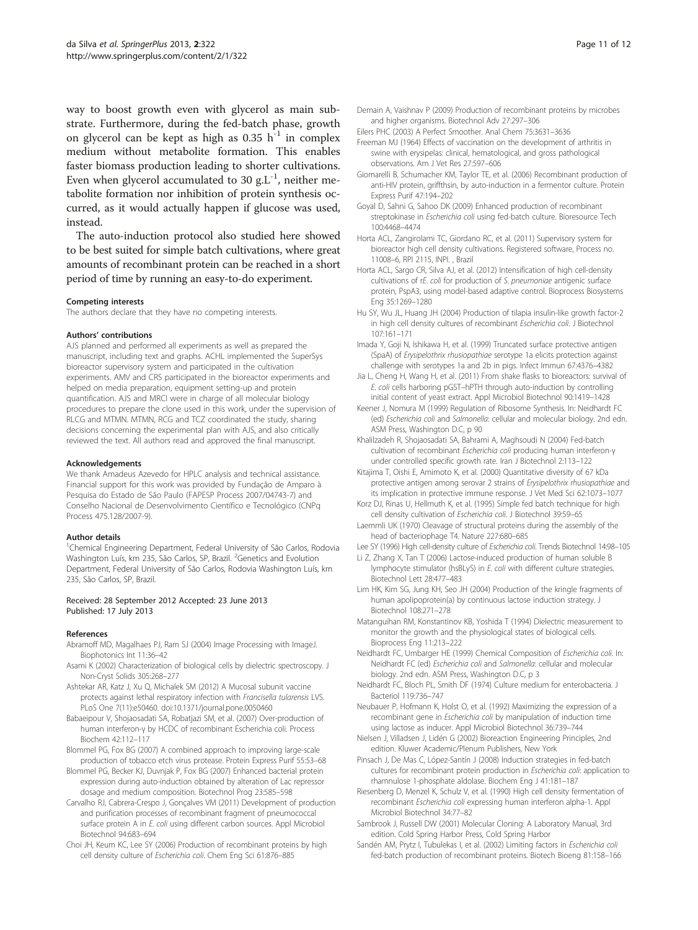<span id="page-10-0"></span>way to boost growth even with glycerol as main substrate. Furthermore, during the fed-batch phase, growth on glycerol can be kept as high as  $0.35$  h<sup>-1</sup> in complex medium without metabolite formation. This enables faster biomass production leading to shorter cultivations. Even when glycerol accumulated to 30 g.L<sup>-1</sup>, neither metabolite formation nor inhibition of protein synthesis occurred, as it would actually happen if glucose was used, instead.

The auto-induction protocol also studied here showed to be best suited for simple batch cultivations, where great amounts of recombinant protein can be reached in a short period of time by running an easy-to-do experiment.

#### Competing interests

The authors declare that they have no competing interests.

#### Authors' contributions

AJS planned and performed all experiments as well as prepared the manuscript, including text and graphs. ACHL implemented the SuperSys bioreactor supervisory system and participated in the cultivation experiments. AMV and CRS participated in the bioreactor experiments and helped on media preparation, equipment setting-up and protein quantification. AJS and MRCI were in charge of all molecular biology procedures to prepare the clone used in this work, under the supervision of RLCG and MTMN. MTMN, RCG and TCZ coordinated the study, sharing decisions concerning the experimental plan with AJS, and also critically reviewed the text. All authors read and approved the final manuscript.

#### Acknowledgements

We thank Amadeus Azevedo for HPLC analysis and technical assistance. Financial support for this work was provided by Fundação de Amparo à Pesquisa do Estado de São Paulo (FAPESP Process 2007/04743-7) and Conselho Nacional de Desenvolvimento Científico e Tecnológico (CNPq Process 475.128/2007-9).

#### Author details

<sup>1</sup>Chemical Engineering Department, Federal University of São Carlos, Rodovia Washington Luís, km 235, São Carlos, SP, Brazil. <sup>2</sup>Genetics and Evolution Department, Federal University of São Carlos, Rodovia Washington Luís, km 235, São Carlos, SP, Brazil.

#### Received: 28 September 2012 Accepted: 23 June 2013 Published: 17 July 2013

#### References

- Abramoff MD, Magalhaes PJ, Ram SJ (2004) Image Processing with ImageJ. Biophotonics Int 11:36–42
- Asami K (2002) Characterization of biological cells by dielectric spectroscopy. J Non-Cryst Solids 305:268–277
- Ashtekar AR, Katz J, Xu Q, Michalek SM (2012) A Mucosal subunit vaccine protects against lethal respiratory infection with Francisella tularensis LVS. PLoS One 7(11):e50460. doi:[10.1371/journal.pone.0050460](http://dx.doi.org/10.1371/journal.pone.0050460)
- Babaeipour V, Shojaosadati SA, Robatjazi SM, et al. (2007) Over-production of human interferon-γ by HCDC of recombinant Escherichia coli. Process Biochem 42:112–117
- Blommel PG, Fox BG (2007) A combined approach to improving large-scale production of tobacco etch virus protease. Protein Express Purif 55:53–68
- Blommel PG, Becker KJ, Duvnjak P, Fox BG (2007) Enhanced bacterial protein expression during auto-induction obtained by alteration of Lac repressor dosage and medium composition. Biotechnol Prog 23:585–598
- Carvalho RJ, Cabrera-Crespo J, Gonçalves VM (2011) Development of production and purification processes of recombinant fragment of pneumococcal surface protein A in E. coli using different carbon sources. Appl Microbiol Biotechnol 94:683–694
- Choi JH, Keum KC, Lee SY (2006) Production of recombinant proteins by high cell density culture of Escherichia coli. Chem Eng Sci 61:876–<sup>885</sup>
- Demain A, Vaishnav P (2009) Production of recombinant proteins by microbes and higher organisms. Biotechnol Adv 27:297–306
- Eilers PHC (2003) A Perfect Smoother. Anal Chem 75:3631–3636
- Freeman MJ (1964) Effects of vaccination on the development of arthritis in swine with erysipelas: clinical, hematological, and gross pathological observations. Am J Vet Res 27:597–606
- Giomarelli B, Schumacher KM, Taylor TE, et al. (2006) Recombinant production of anti-HIV protein, griffthsin, by auto-induction in a fermentor culture. Protein Express Purif 47:194–202
- Goyal D, Sahni G, Sahoo DK (2009) Enhanced production of recombinant streptokinase in Escherichia coli using fed-batch culture. Bioresource Tech 100:4468–4474
- Horta ACL, Zangirolami TC, Giordano RC, et al. (2011) Supervisory system for bioreactor high cell density cultivations. Registered software, Process no. 11008–6, RPI 2115, INPI. , Brazil
- Horta ACL, Sargo CR, Silva AJ, et al. (2012) Intensification of high cell-density cultivations of rE. coli for production of S. pneumoniae antigenic surface protein, PspA3, using model-based adaptive control. Bioprocess Biosystems Eng 35:1269–1280
- Hu SY, Wu JL, Huang JH (2004) Production of tilapia insulin-like growth factor-2 in high cell density cultures of recombinant Escherichia coli. J Biotechnol 107:161–171
- Imada Y, Goji N, Ishikawa H, et al. (1999) Truncated surface protective antigen (SpaA) of Erysipelothrix rhusiopathiae serotype 1a elicits protection against challenge with serotypes 1a and 2b in pigs. Infect Immun 67:4376–4382
- Jia L, Cheng H, Wang H, et al. (2011) From shake flasks to bioreactors: survival of E. coli cells harboring pGST–hPTH through auto-induction by controlling initial content of yeast extract. Appl Microbiol Biotechnol 90:1419–1428
- Keener J, Nomura M (1999) Regulation of Ribosome Synthesis. In: Neidhardt FC (ed) Escherichia coli and Salmonella: cellular and molecular biology. 2nd edn. ASM Press, Washington D.C, p 90
- Khalilzadeh R, Shojaosadati SA, Bahrami A, Maghsoudi N (2004) Fed-batch cultivation of recombinant Escherichia coli producing human interferon-<sup>γ</sup> under controlled specific growth rate. Iran J Biotechnol 2:113–122
- Kitajima T, Oishi E, Amimoto K, et al. (2000) Quantitative diversity of 67 kDa protective antigen among serovar 2 strains of Erysipelothrix rhusiopathiae and its implication in protective immune response. J Vet Med Sci 62:1073–1077
- Korz DJ, Rinas U, Hellmuth K, et al. (1995) Simple fed batch technique for high cell density cultivation of Escherichia coli. J Biotechnol 39:59–<sup>65</sup>
- Laemmli UK (1970) Cleavage of structural proteins during the assembly of the head of bacteriophage T4. Nature 227:680–685
- Lee SY (1996) High cell-density culture of Escherichia coli. Trends Biotechnol 14:98–<sup>105</sup>
- Li Z, Zhang X, Tan T (2006) Lactose-induced production of human soluble B lymphocyte stimulator (hsBLyS) in E. coli with different culture strategies. Biotechnol Lett 28:477–483
- Lim HK, Kim SG, Jung KH, Seo JH (2004) Production of the kringle fragments of human apolipoprotein(a) by continuous lactose induction strategy. J Biotechnol 108:271–278
- Matanguihan RM, Konstantinov KB, Yoshida T (1994) Dielectric measurement to monitor the growth and the physiological states of biological cells. Bioprocess Eng 11:213–222
- Neidhardt FC, Umbarger HE (1999) Chemical Composition of Escherichia coli. In: Neidhardt FC (ed) Escherichia coli and Salmonella: cellular and molecular biology. 2nd edn. ASM Press, Washington D.C, p 3
- Neidhardt FC, Bloch PL, Smith DF (1974) Culture medium for enterobacteria. J Bacteriol 119:736–747
- Neubauer P, Hofmann K, Holst O, et al. (1992) Maximizing the expression of a recombinant gene in Escherichia coli by manipulation of induction time using lactose as inducer. Appl Microbiol Biotechnol 36:739–744
- Nielsen J, Villadsen J, Lidén G (2002) Bioreaction Engineering Principles, 2nd edition. Kluwer Academic/Plenum Publishers, New York
- Pinsach J, De Mas C, López-Santín J (2008) Induction strategies in fed-batch cultures for recombinant protein production in Escherichia coli: application to rhamnulose 1-phosphate aldolase. Biochem Eng J 41:181–187
- Riesenberg D, Menzel K, Schulz V, et al. (1990) High cell density fermentation of recombinant Escherichia coli expressing human interferon alpha-1. Appl Microbiol Biotechnol 34:77–82
- Sambrook J, Russell DW (2001) Molecular Cloning: A Laboratory Manual, 3rd edition. Cold Spring Harbor Press, Cold Spring Harbor
- Sandén AM, Prytz I, Tubulekas I, et al. (2002) Limiting factors in Escherichia coli fed-batch production of recombinant proteins. Biotech Bioeng 81:158–166